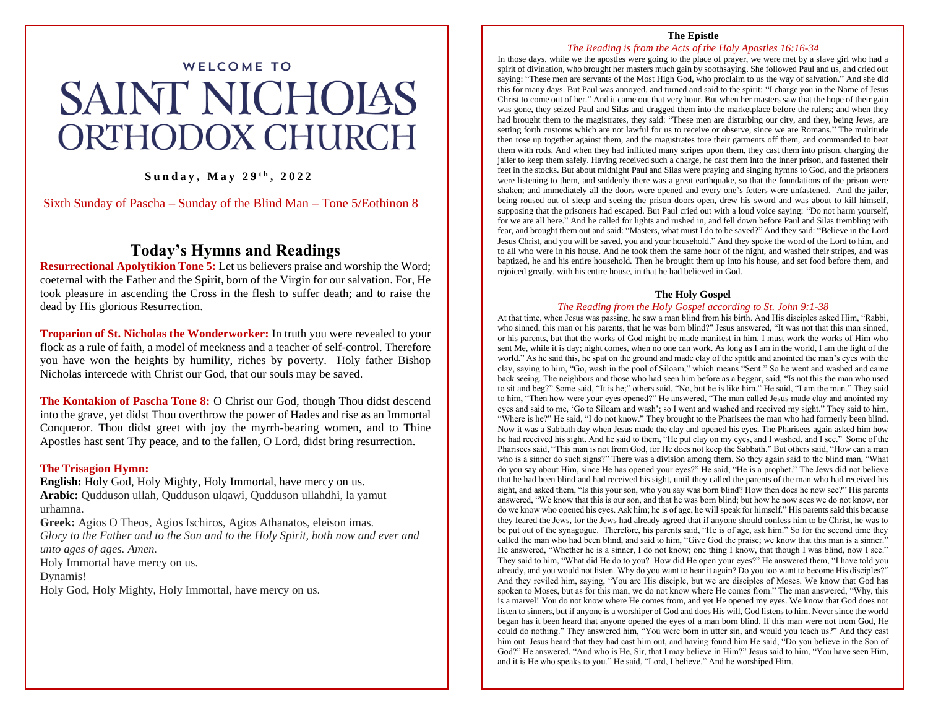# WELCOME TO SAINT NICHOIAS ORTHODOX CHURCH

### **S u n d a y , M a y 2 9 t h , 2 0 2 2**

Sixth Sunday of Pascha – Sunday of the Blind Man – Tone 5/Eothinon 8

# **Today's Hymns and Readings**

**Resurrectional Apolytikion Tone 5:** Let us believers praise and worship the Word; coeternal with the Father and the Spirit, born of the Virgin for our salvation. For, He took pleasure in ascending the Cross in the flesh to suffer death; and to raise the dead by His glorious Resurrection.

**Troparion of St. Nicholas the Wonderworker:** In truth you were revealed to your flock as a rule of faith, a model of meekness and a teacher of self-control. Therefore you have won the heights by humility, riches by poverty. Holy father Bishop Nicholas intercede with Christ our God, that our souls may be saved.

**The Kontakion of Pascha Tone 8:** O Christ our God, though Thou didst descend into the grave, yet didst Thou overthrow the power of Hades and rise as an Immortal Conqueror. Thou didst greet with joy the myrrh-bearing women, and to Thine Apostles hast sent Thy peace, and to the fallen, O Lord, didst bring resurrection.

#### **The Trisagion Hymn:**

**English:** Holy God, Holy Mighty, Holy Immortal, have mercy on us. **Arabic:** Qudduson ullah, Qudduson ulqawi, Qudduson ullahdhi, la yamut urhamna.

**Greek:** Agios O Theos, Agios Ischiros, Agios Athanatos, eleison imas. *Glory to the Father and to the Son and to the Holy Spirit, both now and ever and unto ages of ages. Amen.*

Holy Immortal have mercy on us.

Dynamis!

Holy God, Holy Mighty, Holy Immortal, have mercy on us.

#### **The Epistle**

#### *The Reading is from the Acts of the Holy Apostles 16:16-34*

In those days, while we the apostles were going to the place of prayer, we were met by a slave girl who had a spirit of divination, who brought her masters much gain by soothsaying. She followed Paul and us, and cried out saying: "These men are servants of the Most High God, who proclaim to us the way of salvation." And she did this for many days. But Paul was annoyed, and turned and said to the spirit: "I charge you in the Name of Jesus Christ to come out of her." And it came out that very hour. But when her masters saw that the hope of their gain was gone, they seized Paul and Silas and dragged them into the marketplace before the rulers; and when they had brought them to the magistrates, they said: "These men are disturbing our city, and they, being Jews, are setting forth customs which are not lawful for us to receive or observe, since we are Romans." The multitude then rose up together against them, and the magistrates tore their garments off them, and commanded to beat them with rods. And when they had inflicted many stripes upon them, they cast them into prison, charging the jailer to keep them safely. Having received such a charge, he cast them into the inner prison, and fastened their feet in the stocks. But about midnight Paul and Silas were praying and singing hymns to God, and the prisoners were listening to them, and suddenly there was a great earthquake, so that the foundations of the prison were shaken; and immediately all the doors were opened and every one's fetters were unfastened. And the jailer, being roused out of sleep and seeing the prison doors open, drew his sword and was about to kill himself, supposing that the prisoners had escaped. But Paul cried out with a loud voice saying: "Do not harm yourself, for we are all here." And he called for lights and rushed in, and fell down before Paul and Silas trembling with fear, and brought them out and said: "Masters, what must I do to be saved?" And they said: "Believe in the Lord Jesus Christ, and you will be saved, you and your household." And they spoke the word of the Lord to him, and to all who were in his house. And he took them the same hour of the night, and washed their stripes, and was baptized, he and his entire household. Then he brought them up into his house, and set food before them, and rejoiced greatly, with his entire house, in that he had believed in God.

#### **The Holy Gospel**

#### *The Reading from the Holy Gospel according to St. John 9:1-38*

At that time, when Jesus was passing, he saw a man blind from his birth. And His disciples asked Him, "Rabbi, who sinned, this man or his parents, that he was born blind?" Jesus answered, "It was not that this man sinned, or his parents, but that the works of God might be made manifest in him. I must work the works of Him who sent Me, while it is day; night comes, when no one can work. As long as I am in the world, I am the light of the world." As he said this, he spat on the ground and made clay of the spittle and anointed the man's eyes with the clay, saying to him, "Go, wash in the pool of Siloam," which means "Sent." So he went and washed and came back seeing. The neighbors and those who had seen him before as a beggar, said, "Is not this the man who used to sit and beg?" Some said, "It is he;" others said, "No, but he is like him." He said, "I am the man." They said to him, "Then how were your eyes opened?" He answered, "The man called Jesus made clay and anointed my eyes and said to me, 'Go to Siloam and wash'; so I went and washed and received my sight." They said to him, "Where is he?" He said, "I do not know." They brought to the Pharisees the man who had formerly been blind. Now it was a Sabbath day when Jesus made the clay and opened his eyes. The Pharisees again asked him how he had received his sight. And he said to them, "He put clay on my eyes, and I washed, and I see." Some of the Pharisees said, "This man is not from God, for He does not keep the Sabbath." But others said, "How can a man who is a sinner do such signs?" There was a division among them. So they again said to the blind man, "What do you say about Him, since He has opened your eyes?" He said, "He is a prophet." The Jews did not believe that he had been blind and had received his sight, until they called the parents of the man who had received his sight, and asked them, "Is this your son, who you say was born blind? How then does he now see?" His parents answered, "We know that this is our son, and that he was born blind; but how he now sees we do not know, nor do we know who opened his eyes. Ask him; he is of age, he will speak for himself." His parents said this because they feared the Jews, for the Jews had already agreed that if anyone should confess him to be Christ, he was to be put out of the synagogue. Therefore, his parents said, "He is of age, ask him." So for the second time they called the man who had been blind, and said to him, "Give God the praise; we know that this man is a sinner." He answered, "Whether he is a sinner, I do not know; one thing I know, that though I was blind, now I see." They said to him, "What did He do to you? How did He open your eyes?" He answered them, "I have told you already, and you would not listen. Why do you want to hear it again? Do you too want to become His disciples?" And they reviled him, saying, "You are His disciple, but we are disciples of Moses. We know that God has spoken to Moses, but as for this man, we do not know where He comes from." The man answered, "Why, this is a marvel! You do not know where He comes from, and yet He opened my eyes. We know that God does not listen to sinners, but if anyone is a worshiper of God and does His will, God listens to him. Never since the world began has it been heard that anyone opened the eyes of a man born blind. If this man were not from God, He could do nothing." They answered him, "You were born in utter sin, and would you teach us?" And they cast him out. Jesus heard that they had cast him out, and having found him He said, "Do you believe in the Son of God?" He answered, "And who is He, Sir, that I may believe in Him?" Jesus said to him, "You have seen Him, and it is He who speaks to you." He said, "Lord, I believe." And he worshiped Him.